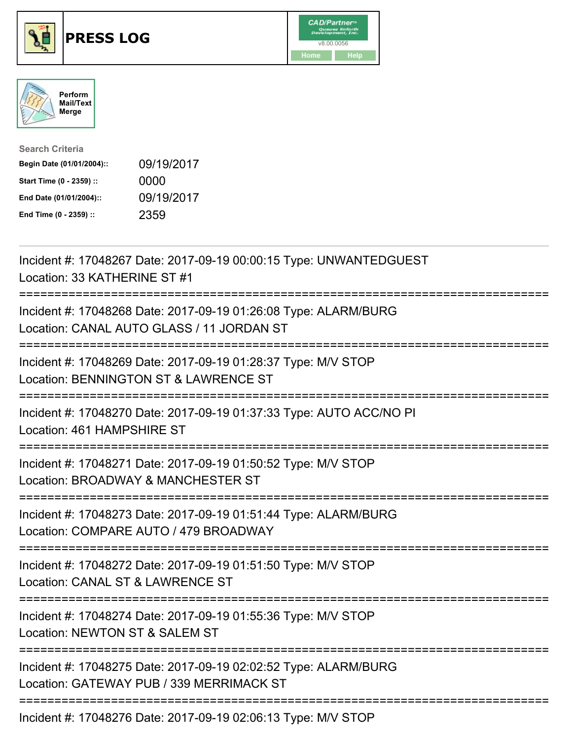





| <b>Search Criteria</b>    |            |
|---------------------------|------------|
| Begin Date (01/01/2004):: | 09/19/2017 |
| Start Time (0 - 2359) ::  | 0000       |
| End Date (01/01/2004)::   | 09/19/2017 |
| End Time (0 - 2359) ::    | 2359       |

| Incident #: 17048267 Date: 2017-09-19 00:00:15 Type: UNWANTEDGUEST<br>Location: 33 KATHERINE ST #1<br>:====================                |
|--------------------------------------------------------------------------------------------------------------------------------------------|
| Incident #: 17048268 Date: 2017-09-19 01:26:08 Type: ALARM/BURG<br>Location: CANAL AUTO GLASS / 11 JORDAN ST                               |
| Incident #: 17048269 Date: 2017-09-19 01:28:37 Type: M/V STOP<br>Location: BENNINGTON ST & LAWRENCE ST                                     |
| Incident #: 17048270 Date: 2017-09-19 01:37:33 Type: AUTO ACC/NO PI<br>Location: 461 HAMPSHIRE ST                                          |
| Incident #: 17048271 Date: 2017-09-19 01:50:52 Type: M/V STOP<br>Location: BROADWAY & MANCHESTER ST<br>;================================== |
| Incident #: 17048273 Date: 2017-09-19 01:51:44 Type: ALARM/BURG<br>Location: COMPARE AUTO / 479 BROADWAY                                   |
| Incident #: 17048272 Date: 2017-09-19 01:51:50 Type: M/V STOP<br>Location: CANAL ST & LAWRENCE ST                                          |
| Incident #: 17048274 Date: 2017-09-19 01:55:36 Type: M/V STOP<br>Location: NEWTON ST & SALEM ST                                            |
| Incident #: 17048275 Date: 2017-09-19 02:02:52 Type: ALARM/BURG<br>Location: GATEWAY PUB / 339 MERRIMACK ST                                |
|                                                                                                                                            |

Incident #: 17048276 Date: 2017-09-19 02:06:13 Type: M/V STOP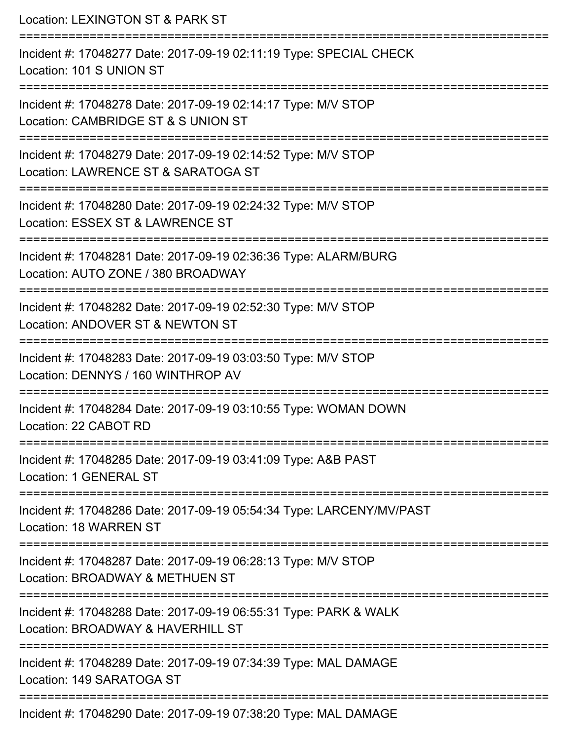Location: LEXINGTON ST & PARK ST =========================================================================== Incident #: 17048277 Date: 2017-09-19 02:11:19 Type: SPECIAL CHECK Location: 101 S UNION ST =========================================================================== Incident #: 17048278 Date: 2017-09-19 02:14:17 Type: M/V STOP Location: CAMBRIDGE ST & S UNION ST =========================================================================== Incident #: 17048279 Date: 2017-09-19 02:14:52 Type: M/V STOP Location: LAWRENCE ST & SARATOGA ST =========================================================================== Incident #: 17048280 Date: 2017-09-19 02:24:32 Type: M/V STOP Location: ESSEX ST & LAWRENCE ST =========================================================================== Incident #: 17048281 Date: 2017-09-19 02:36:36 Type: ALARM/BURG Location: AUTO ZONE / 380 BROADWAY =========================================================================== Incident #: 17048282 Date: 2017-09-19 02:52:30 Type: M/V STOP Location: ANDOVER ST & NEWTON ST =========================================================================== Incident #: 17048283 Date: 2017-09-19 03:03:50 Type: M/V STOP Location: DENNYS / 160 WINTHROP AV =========================================================================== Incident #: 17048284 Date: 2017-09-19 03:10:55 Type: WOMAN DOWN Location: 22 CABOT RD =========================================================================== Incident #: 17048285 Date: 2017-09-19 03:41:09 Type: A&B PAST Location: 1 GENERAL ST =========================================================================== Incident #: 17048286 Date: 2017-09-19 05:54:34 Type: LARCENY/MV/PAST Location: 18 WARREN ST =========================================================================== Incident #: 17048287 Date: 2017-09-19 06:28:13 Type: M/V STOP Location: BROADWAY & METHUEN ST =========================================================================== Incident #: 17048288 Date: 2017-09-19 06:55:31 Type: PARK & WALK Location: BROADWAY & HAVERHILL ST =========================================================================== Incident #: 17048289 Date: 2017-09-19 07:34:39 Type: MAL DAMAGE Location: 149 SARATOGA ST =========================================================================== Incident #: 17048290 Date: 2017-09-19 07:38:20 Type: MAL DAMAGE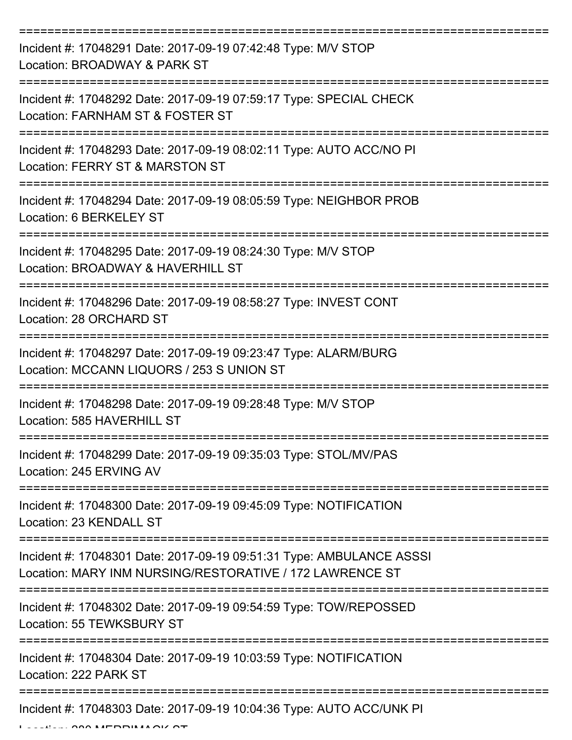| Incident #: 17048291 Date: 2017-09-19 07:42:48 Type: M/V STOP<br>Location: BROADWAY & PARK ST                                                              |
|------------------------------------------------------------------------------------------------------------------------------------------------------------|
| Incident #: 17048292 Date: 2017-09-19 07:59:17 Type: SPECIAL CHECK<br>Location: FARNHAM ST & FOSTER ST                                                     |
| Incident #: 17048293 Date: 2017-09-19 08:02:11 Type: AUTO ACC/NO PI<br>Location: FERRY ST & MARSTON ST                                                     |
| Incident #: 17048294 Date: 2017-09-19 08:05:59 Type: NEIGHBOR PROB<br>Location: 6 BERKELEY ST                                                              |
| Incident #: 17048295 Date: 2017-09-19 08:24:30 Type: M/V STOP<br>Location: BROADWAY & HAVERHILL ST<br>=================                                    |
| Incident #: 17048296 Date: 2017-09-19 08:58:27 Type: INVEST CONT<br>Location: 28 ORCHARD ST                                                                |
| Incident #: 17048297 Date: 2017-09-19 09:23:47 Type: ALARM/BURG<br>Location: MCCANN LIQUORS / 253 S UNION ST                                               |
| Incident #: 17048298 Date: 2017-09-19 09:28:48 Type: M/V STOP<br>Location: 585 HAVERHILL ST                                                                |
| Incident #: 17048299 Date: 2017-09-19 09:35:03 Type: STOL/MV/PAS<br>Location: 245 ERVING AV                                                                |
| Incident #: 17048300 Date: 2017-09-19 09:45:09 Type: NOTIFICATION<br>Location: 23 KENDALL ST                                                               |
| ----------------------<br>Incident #: 17048301 Date: 2017-09-19 09:51:31 Type: AMBULANCE ASSSI<br>Location: MARY INM NURSING/RESTORATIVE / 172 LAWRENCE ST |
| Incident #: 17048302 Date: 2017-09-19 09:54:59 Type: TOW/REPOSSED<br>Location: 55 TEWKSBURY ST                                                             |
| Incident #: 17048304 Date: 2017-09-19 10:03:59 Type: NOTIFICATION<br>Location: 222 PARK ST                                                                 |
| Incident #: 17048303 Date: 2017-09-19 10:04:36 Type: AUTO ACC/UNK PI                                                                                       |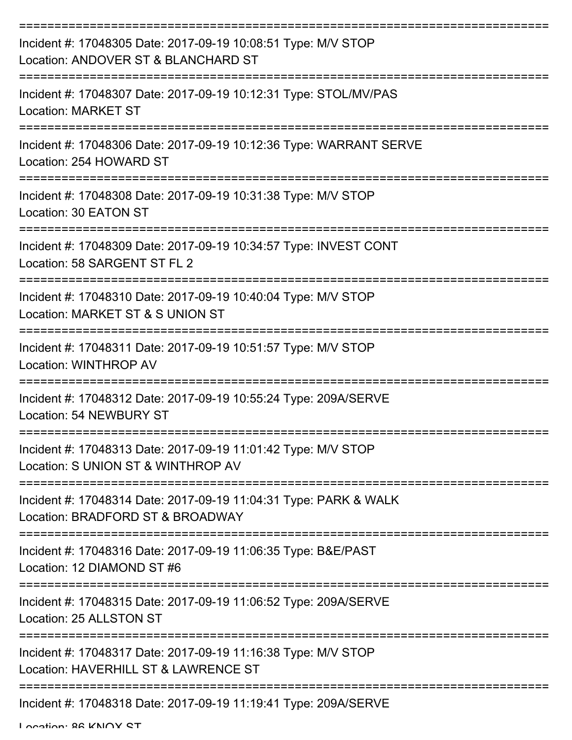| Incident #: 17048305 Date: 2017-09-19 10:08:51 Type: M/V STOP<br>Location: ANDOVER ST & BLANCHARD ST  |
|-------------------------------------------------------------------------------------------------------|
| Incident #: 17048307 Date: 2017-09-19 10:12:31 Type: STOL/MV/PAS<br><b>Location: MARKET ST</b>        |
| Incident #: 17048306 Date: 2017-09-19 10:12:36 Type: WARRANT SERVE<br>Location: 254 HOWARD ST         |
| Incident #: 17048308 Date: 2017-09-19 10:31:38 Type: M/V STOP<br>Location: 30 EATON ST                |
| Incident #: 17048309 Date: 2017-09-19 10:34:57 Type: INVEST CONT<br>Location: 58 SARGENT ST FL 2      |
| Incident #: 17048310 Date: 2017-09-19 10:40:04 Type: M/V STOP<br>Location: MARKET ST & S UNION ST     |
| Incident #: 17048311 Date: 2017-09-19 10:51:57 Type: M/V STOP<br><b>Location: WINTHROP AV</b>         |
| Incident #: 17048312 Date: 2017-09-19 10:55:24 Type: 209A/SERVE<br>Location: 54 NEWBURY ST            |
| Incident #: 17048313 Date: 2017-09-19 11:01:42 Type: M/V STOP<br>Location: S UNION ST & WINTHROP AV   |
| Incident #: 17048314 Date: 2017-09-19 11:04:31 Type: PARK & WALK<br>Location: BRADFORD ST & BROADWAY  |
| Incident #: 17048316 Date: 2017-09-19 11:06:35 Type: B&E/PAST<br>Location: 12 DIAMOND ST #6           |
| Incident #: 17048315 Date: 2017-09-19 11:06:52 Type: 209A/SERVE<br>Location: 25 ALLSTON ST            |
| Incident #: 17048317 Date: 2017-09-19 11:16:38 Type: M/V STOP<br>Location: HAVERHILL ST & LAWRENCE ST |
| Incident #: 17048318 Date: 2017-09-19 11:19:41 Type: 209A/SERVE                                       |

Location: 86 KNOX ST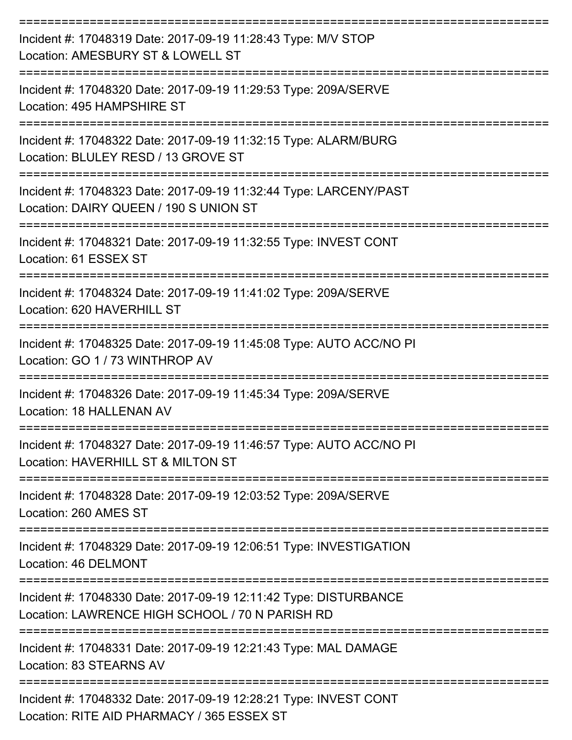| Incident #: 17048319 Date: 2017-09-19 11:28:43 Type: M/V STOP<br>Location: AMESBURY ST & LOWELL ST                  |
|---------------------------------------------------------------------------------------------------------------------|
| Incident #: 17048320 Date: 2017-09-19 11:29:53 Type: 209A/SERVE<br>Location: 495 HAMPSHIRE ST                       |
| Incident #: 17048322 Date: 2017-09-19 11:32:15 Type: ALARM/BURG<br>Location: BLULEY RESD / 13 GROVE ST              |
| Incident #: 17048323 Date: 2017-09-19 11:32:44 Type: LARCENY/PAST<br>Location: DAIRY QUEEN / 190 S UNION ST         |
| Incident #: 17048321 Date: 2017-09-19 11:32:55 Type: INVEST CONT<br>Location: 61 ESSEX ST                           |
| Incident #: 17048324 Date: 2017-09-19 11:41:02 Type: 209A/SERVE<br>Location: 620 HAVERHILL ST                       |
| Incident #: 17048325 Date: 2017-09-19 11:45:08 Type: AUTO ACC/NO PI<br>Location: GO 1 / 73 WINTHROP AV              |
| Incident #: 17048326 Date: 2017-09-19 11:45:34 Type: 209A/SERVE<br>Location: 18 HALLENAN AV                         |
| Incident #: 17048327 Date: 2017-09-19 11:46:57 Type: AUTO ACC/NO PI<br>Location: HAVERHILL ST & MILTON ST           |
| Incident #: 17048328 Date: 2017-09-19 12:03:52 Type: 209A/SERVE<br>Location: 260 AMES ST                            |
| Incident #: 17048329 Date: 2017-09-19 12:06:51 Type: INVESTIGATION<br>Location: 46 DELMONT                          |
| Incident #: 17048330 Date: 2017-09-19 12:11:42 Type: DISTURBANCE<br>Location: LAWRENCE HIGH SCHOOL / 70 N PARISH RD |
| Incident #: 17048331 Date: 2017-09-19 12:21:43 Type: MAL DAMAGE<br>Location: 83 STEARNS AV                          |
| Incident #: 17048332 Date: 2017-09-19 12:28:21 Type: INVEST CONT<br>Location: RITE AID PHARMACY / 365 ESSEX ST      |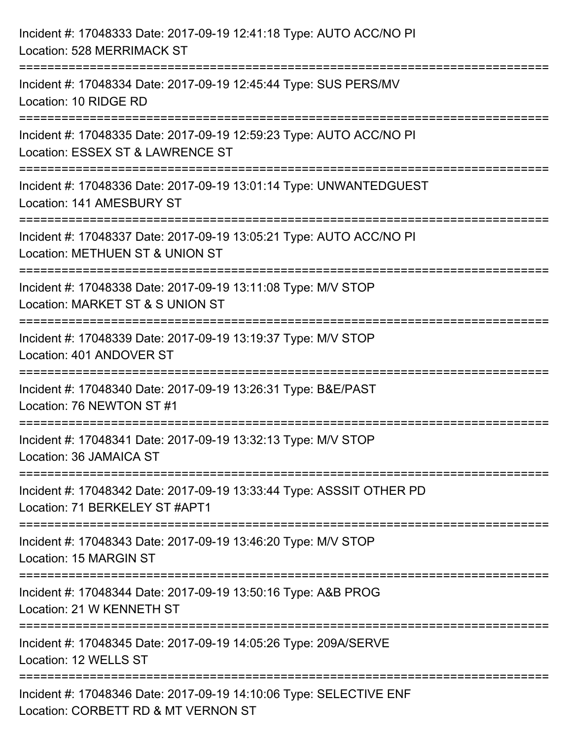| Incident #: 17048333 Date: 2017-09-19 12:41:18 Type: AUTO ACC/NO PI<br>Location: 528 MERRIMACK ST                            |
|------------------------------------------------------------------------------------------------------------------------------|
| Incident #: 17048334 Date: 2017-09-19 12:45:44 Type: SUS PERS/MV<br>Location: 10 RIDGE RD                                    |
| Incident #: 17048335 Date: 2017-09-19 12:59:23 Type: AUTO ACC/NO PI<br>Location: ESSEX ST & LAWRENCE ST                      |
| Incident #: 17048336 Date: 2017-09-19 13:01:14 Type: UNWANTEDGUEST<br>Location: 141 AMESBURY ST                              |
| Incident #: 17048337 Date: 2017-09-19 13:05:21 Type: AUTO ACC/NO PI<br>Location: METHUEN ST & UNION ST                       |
| Incident #: 17048338 Date: 2017-09-19 13:11:08 Type: M/V STOP<br>Location: MARKET ST & S UNION ST                            |
| ===============================<br>Incident #: 17048339 Date: 2017-09-19 13:19:37 Type: M/V STOP<br>Location: 401 ANDOVER ST |
| Incident #: 17048340 Date: 2017-09-19 13:26:31 Type: B&E/PAST<br>Location: 76 NEWTON ST #1                                   |
| Incident #: 17048341 Date: 2017-09-19 13:32:13 Type: M/V STOP<br>Location: 36 JAMAICA ST                                     |
| Incident #: 17048342 Date: 2017-09-19 13:33:44 Type: ASSSIT OTHER PD<br>Location: 71 BERKELEY ST #APT1                       |
| Incident #: 17048343 Date: 2017-09-19 13:46:20 Type: M/V STOP<br>Location: 15 MARGIN ST                                      |
| Incident #: 17048344 Date: 2017-09-19 13:50:16 Type: A&B PROG<br>Location: 21 W KENNETH ST                                   |
| Incident #: 17048345 Date: 2017-09-19 14:05:26 Type: 209A/SERVE<br>Location: 12 WELLS ST                                     |
| Incident #: 17048346 Date: 2017-09-19 14:10:06 Type: SELECTIVE ENF<br>Location: CORBETT RD & MT VERNON ST                    |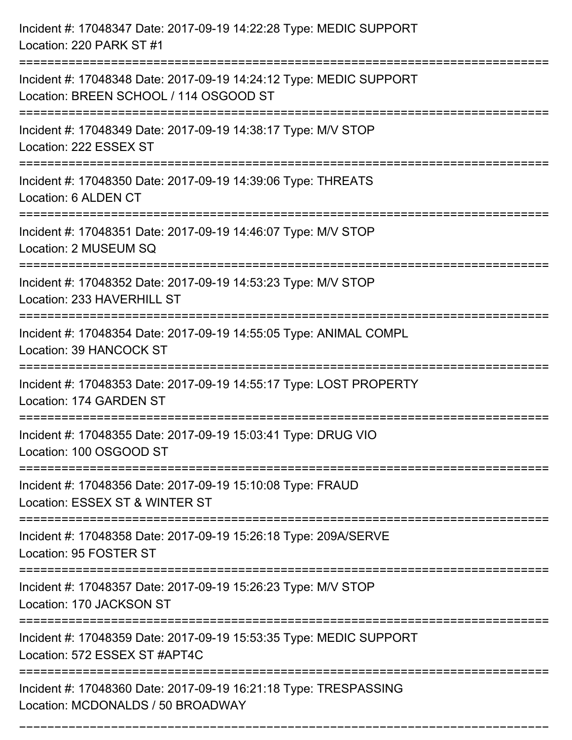| Incident #: 17048347 Date: 2017-09-19 14:22:28 Type: MEDIC SUPPORT<br>Location: 220 PARK ST #1                                |
|-------------------------------------------------------------------------------------------------------------------------------|
| Incident #: 17048348 Date: 2017-09-19 14:24:12 Type: MEDIC SUPPORT<br>Location: BREEN SCHOOL / 114 OSGOOD ST                  |
| Incident #: 17048349 Date: 2017-09-19 14:38:17 Type: M/V STOP<br>Location: 222 ESSEX ST<br>;================================= |
| Incident #: 17048350 Date: 2017-09-19 14:39:06 Type: THREATS<br>Location: 6 ALDEN CT                                          |
| Incident #: 17048351 Date: 2017-09-19 14:46:07 Type: M/V STOP<br>Location: 2 MUSEUM SQ<br>==============================      |
| Incident #: 17048352 Date: 2017-09-19 14:53:23 Type: M/V STOP<br>Location: 233 HAVERHILL ST                                   |
| Incident #: 17048354 Date: 2017-09-19 14:55:05 Type: ANIMAL COMPL<br>Location: 39 HANCOCK ST                                  |
| Incident #: 17048353 Date: 2017-09-19 14:55:17 Type: LOST PROPERTY<br>Location: 174 GARDEN ST                                 |
| Incident #: 17048355 Date: 2017-09-19 15:03:41 Type: DRUG VIO<br>Location: 100 OSGOOD ST                                      |
| Incident #: 17048356 Date: 2017-09-19 15:10:08 Type: FRAUD<br>Location: ESSEX ST & WINTER ST                                  |
| Incident #: 17048358 Date: 2017-09-19 15:26:18 Type: 209A/SERVE<br>Location: 95 FOSTER ST                                     |
| Incident #: 17048357 Date: 2017-09-19 15:26:23 Type: M/V STOP<br>Location: 170 JACKSON ST                                     |
| Incident #: 17048359 Date: 2017-09-19 15:53:35 Type: MEDIC SUPPORT<br>Location: 572 ESSEX ST #APT4C                           |
| Incident #: 17048360 Date: 2017-09-19 16:21:18 Type: TRESPASSING<br>Location: MCDONALDS / 50 BROADWAY                         |

===========================================================================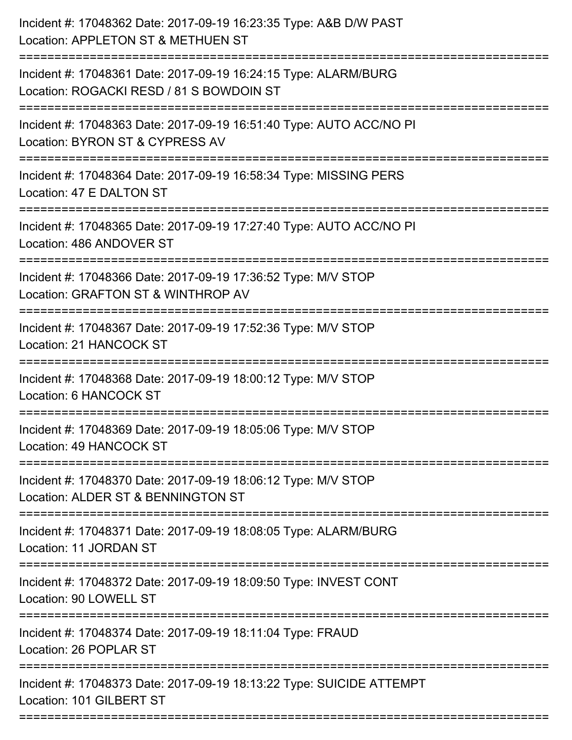| Incident #: 17048362 Date: 2017-09-19 16:23:35 Type: A&B D/W PAST<br>Location: APPLETON ST & METHUEN ST                          |
|----------------------------------------------------------------------------------------------------------------------------------|
| Incident #: 17048361 Date: 2017-09-19 16:24:15 Type: ALARM/BURG<br>Location: ROGACKI RESD / 81 S BOWDOIN ST                      |
| Incident #: 17048363 Date: 2017-09-19 16:51:40 Type: AUTO ACC/NO PI<br>Location: BYRON ST & CYPRESS AV                           |
| Incident #: 17048364 Date: 2017-09-19 16:58:34 Type: MISSING PERS<br>Location: 47 E DALTON ST                                    |
| Incident #: 17048365 Date: 2017-09-19 17:27:40 Type: AUTO ACC/NO PI<br>Location: 486 ANDOVER ST<br>============================= |
| Incident #: 17048366 Date: 2017-09-19 17:36:52 Type: M/V STOP<br>Location: GRAFTON ST & WINTHROP AV                              |
| Incident #: 17048367 Date: 2017-09-19 17:52:36 Type: M/V STOP<br>Location: 21 HANCOCK ST                                         |
| Incident #: 17048368 Date: 2017-09-19 18:00:12 Type: M/V STOP<br>Location: 6 HANCOCK ST                                          |
| Incident #: 17048369 Date: 2017-09-19 18:05:06 Type: M/V STOP<br>Location: 49 HANCOCK ST                                         |
| Incident #: 17048370 Date: 2017-09-19 18:06:12 Type: M/V STOP<br>Location: ALDER ST & BENNINGTON ST                              |
| Incident #: 17048371 Date: 2017-09-19 18:08:05 Type: ALARM/BURG<br>Location: 11 JORDAN ST                                        |
| Incident #: 17048372 Date: 2017-09-19 18:09:50 Type: INVEST CONT<br>Location: 90 LOWELL ST                                       |
| Incident #: 17048374 Date: 2017-09-19 18:11:04 Type: FRAUD<br>Location: 26 POPLAR ST                                             |
| Incident #: 17048373 Date: 2017-09-19 18:13:22 Type: SUICIDE ATTEMPT<br>Location: 101 GILBERT ST                                 |
|                                                                                                                                  |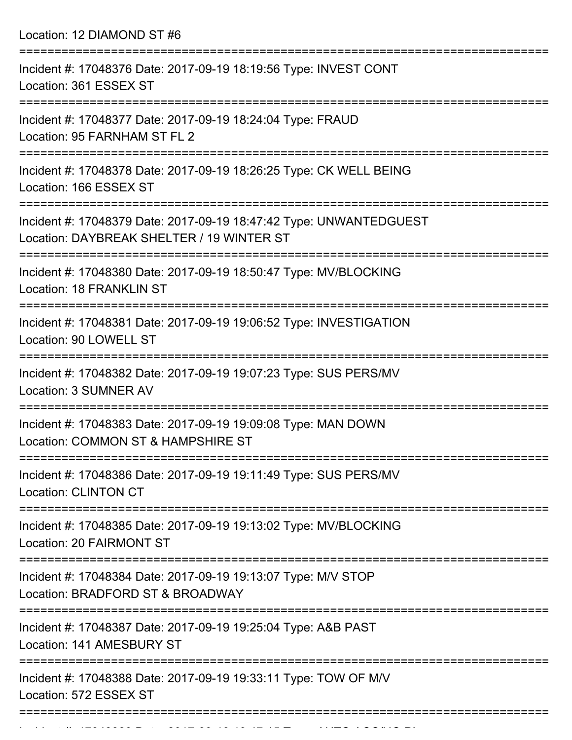Location: 12 DIAMOND ST #6

| Incident #: 17048376 Date: 2017-09-19 18:19:56 Type: INVEST CONT<br>Location: 361 ESSEX ST                      |
|-----------------------------------------------------------------------------------------------------------------|
| Incident #: 17048377 Date: 2017-09-19 18:24:04 Type: FRAUD<br>Location: 95 FARNHAM ST FL 2                      |
| Incident #: 17048378 Date: 2017-09-19 18:26:25 Type: CK WELL BEING<br>Location: 166 ESSEX ST                    |
| Incident #: 17048379 Date: 2017-09-19 18:47:42 Type: UNWANTEDGUEST<br>Location: DAYBREAK SHELTER / 19 WINTER ST |
| Incident #: 17048380 Date: 2017-09-19 18:50:47 Type: MV/BLOCKING<br>Location: 18 FRANKLIN ST                    |
| Incident #: 17048381 Date: 2017-09-19 19:06:52 Type: INVESTIGATION<br>Location: 90 LOWELL ST                    |
| Incident #: 17048382 Date: 2017-09-19 19:07:23 Type: SUS PERS/MV<br>Location: 3 SUMNER AV                       |
| Incident #: 17048383 Date: 2017-09-19 19:09:08 Type: MAN DOWN<br>Location: COMMON ST & HAMPSHIRE ST             |
| Incident #: 17048386 Date: 2017-09-19 19:11:49 Type: SUS PERS/MV<br><b>Location: CLINTON CT</b>                 |
| Incident #: 17048385 Date: 2017-09-19 19:13:02 Type: MV/BLOCKING<br>Location: 20 FAIRMONT ST                    |
| Incident #: 17048384 Date: 2017-09-19 19:13:07 Type: M/V STOP<br>Location: BRADFORD ST & BROADWAY               |
| Incident #: 17048387 Date: 2017-09-19 19:25:04 Type: A&B PAST<br>Location: 141 AMESBURY ST                      |
| Incident #: 17048388 Date: 2017-09-19 19:33:11 Type: TOW OF M/V<br>Location: 572 ESSEX ST                       |
|                                                                                                                 |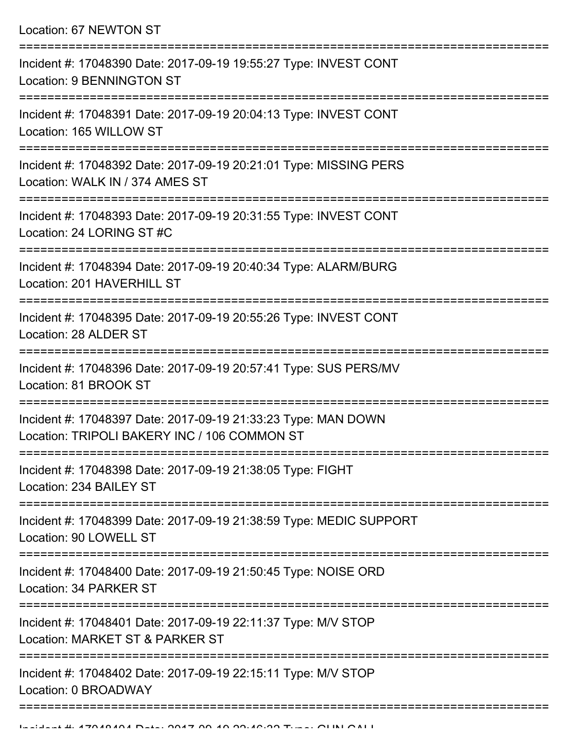Location: 67 NEWTON ST

| Incident #: 17048390 Date: 2017-09-19 19:55:27 Type: INVEST CONT<br>Location: 9 BENNINGTON ST                 |
|---------------------------------------------------------------------------------------------------------------|
| Incident #: 17048391 Date: 2017-09-19 20:04:13 Type: INVEST CONT<br>Location: 165 WILLOW ST                   |
| Incident #: 17048392 Date: 2017-09-19 20:21:01 Type: MISSING PERS<br>Location: WALK IN / 374 AMES ST          |
| Incident #: 17048393 Date: 2017-09-19 20:31:55 Type: INVEST CONT<br>Location: 24 LORING ST #C                 |
| Incident #: 17048394 Date: 2017-09-19 20:40:34 Type: ALARM/BURG<br>Location: 201 HAVERHILL ST                 |
| Incident #: 17048395 Date: 2017-09-19 20:55:26 Type: INVEST CONT<br>Location: 28 ALDER ST                     |
| Incident #: 17048396 Date: 2017-09-19 20:57:41 Type: SUS PERS/MV<br>Location: 81 BROOK ST                     |
| Incident #: 17048397 Date: 2017-09-19 21:33:23 Type: MAN DOWN<br>Location: TRIPOLI BAKERY INC / 106 COMMON ST |
| Incident #: 17048398 Date: 2017-09-19 21:38:05 Type: FIGHT<br>Location: 234 BAILEY ST                         |
| Incident #: 17048399 Date: 2017-09-19 21:38:59 Type: MEDIC SUPPORT<br>Location: 90 LOWELL ST                  |
| Incident #: 17048400 Date: 2017-09-19 21:50:45 Type: NOISE ORD<br>Location: 34 PARKER ST                      |
| Incident #: 17048401 Date: 2017-09-19 22:11:37 Type: M/V STOP<br>Location: MARKET ST & PARKER ST              |
| Incident #: 17048402 Date: 2017-09-19 22:15:11 Type: M/V STOP<br>Location: 0 BROADWAY                         |
|                                                                                                               |